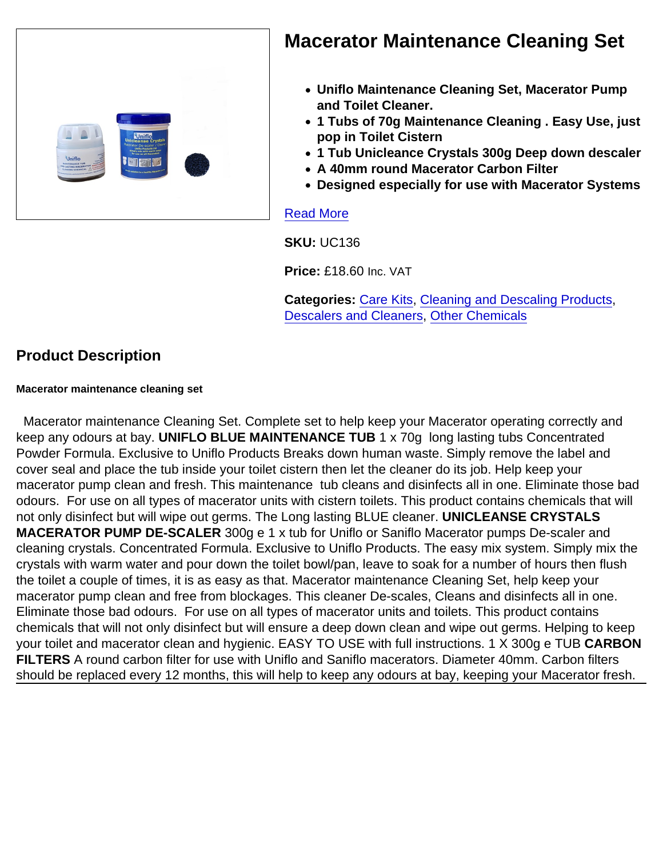

## Macerator Maintenance Cleaning Set

- Uniflo Maintenance Cleaning Set, Macerator Pump and Toilet Cleaner.
- 1 Tubs of 70g Maintenance Cleaning . Easy Use, just pop in Toilet Cistern
- 1 Tub Unicleance Crystals 300g Deep down descaler
- A 40mm round Macerator Carbon Filter
- Designed especially for use with Macerator Systems

#### [Read More](https://unifloproducts.co.uk/product/macerator-maintenance-cleaning-set/)

SKU: UC136

Price: £18.60 Inc. VAT

Categories: [Care Kits](https://unifloproducts.co.uk/product-category/cleaning-and-descaling-products/care-kits/), [Cleaning and Descaling Products,](https://unifloproducts.co.uk/product-category/cleaning-and-descaling-products/) [Descalers and Cleaners,](https://unifloproducts.co.uk/product-category/cleaning-and-descaling-products/descalers-and-cleaners/) [Other Chemicals](https://unifloproducts.co.uk/product-category/cleaning-and-descaling-products/macerator-cleaning-descaling/)

## Product Description

Macerator maintenance cleaning set

 Macerator maintenance Cleaning Set. Complete set to help keep your Macerator operating correctly and keep any odours at bay. UNIFLO BLUE MAINTENANCE TUB 1 x 70g long lasting tubs Concentrated Powder Formula. Exclusive to Uniflo Products Breaks down human waste. Simply remove the label and cover seal and place the tub inside your toilet cistern then let the cleaner do its job. Help keep your macerator pump clean and fresh. This maintenance tub cleans and disinfects all in one. Eliminate those bad odours. For use on all types of macerator units with cistern toilets. This product contains chemicals that will not only disinfect but will wipe out germs. The Long lasting BLUE cleaner. UNICLEANSE CRYSTALS MACERATOR PUMP DE-SCALER 300g e 1 x tub for Uniflo or Saniflo Macerator pumps De-scaler and cleaning crystals. Concentrated Formula. Exclusive to Uniflo Products. The easy mix system. Simply mix the crystals with warm water and pour down the toilet bowl/pan, leave to soak for a number of hours then flush the toilet a couple of times, it is as easy as that. Macerator maintenance Cleaning Set, help keep your macerator pump clean and free from blockages. This cleaner De-scales, Cleans and disinfects all in one. Eliminate those bad odours. For use on all types of macerator units and toilets. This product contains chemicals that will not only disinfect but will ensure a deep down clean and wipe out germs. Helping to keep your toilet and macerator clean and hygienic. EASY TO USE with full instructions. 1 X 300g e TUB CARBON FILTERS A round carbon filter for use with Uniflo and Saniflo macerators. Diameter 40mm. Carbon filters should be replaced every 12 months, this will help to keep any odours at bay, keeping your Macerator fresh.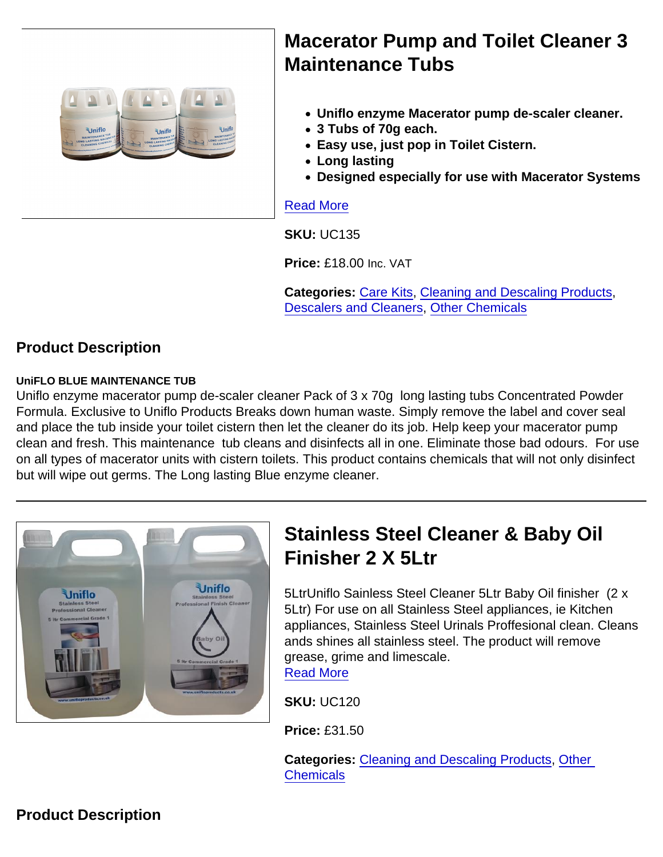# Macerator Pump and Toilet Cleaner 3 Maintenance Tubs

- Uniflo enzyme Macerator pump de-scaler cleaner.
- 3 Tubs of 70g each.
- Easy use, just pop in Toilet Cistern.
- Long lasting
- Designed especially for use with Macerator Systems

#### [Read More](https://unifloproducts.co.uk/product/macerator-pump-and-toilet-cleaner-3-maintenance-tubs/)

SKU: UC135

Price: £18.00 Inc. VAT

Categories: [Care Kits](https://unifloproducts.co.uk/product-category/cleaning-and-descaling-products/care-kits/), [Cleaning and Descaling Products,](https://unifloproducts.co.uk/product-category/cleaning-and-descaling-products/) [Descalers and Cleaners,](https://unifloproducts.co.uk/product-category/cleaning-and-descaling-products/descalers-and-cleaners/) [Other Chemicals](https://unifloproducts.co.uk/product-category/cleaning-and-descaling-products/macerator-cleaning-descaling/)

Product Description

UniFLO BLUE MAINTENANCE TUB

Uniflo enzyme macerator pump de-scaler cleaner Pack of 3 x 70g long lasting tubs Concentrated Powder Formula. Exclusive to Uniflo Products Breaks down human waste. Simply remove the label and cover seal and place the tub inside your toilet cistern then let the cleaner do its job. Help keep your macerator pump clean and fresh. This maintenance tub cleans and disinfects all in one. Eliminate those bad odours. For use on all types of macerator units with cistern toilets. This product contains chemicals that will not only disinfect but will wipe out germs. The Long lasting Blue enzyme cleaner.

|  | <b>Stainless Steel Cleaner &amp; Baby Oil</b><br>Finisher 2 X 5Ltr                                                                                                                                                                                                                                             |
|--|----------------------------------------------------------------------------------------------------------------------------------------------------------------------------------------------------------------------------------------------------------------------------------------------------------------|
|  | 5LtrUniflo Sainless Steel Cleaner 5Ltr Baby Oil finish<br>5Ltr) For use on all Stainless Steel appliances, ie Kit<br>appliances, Stainless Steel Urinals Proffesional clear<br>ands shines all stainless steel. The product will remo<br>grease, grime and limescale.<br><b>Read More</b><br><b>SKU: UC120</b> |
|  |                                                                                                                                                                                                                                                                                                                |

s Steel Cleaner 5Ltr Baby Oil finisher (2 x Ill Stainless Steel appliances, ie Kitchen ess Steel Urinals Proffesional clean. Cleans ainless steel. The product will remove

Price: £31.50

Categories: [Cleaning and Descaling Products,](https://unifloproducts.co.uk/product-category/cleaning-and-descaling-products/) [Other](https://unifloproducts.co.uk/product-category/cleaning-and-descaling-products/macerator-cleaning-descaling/)  **[Chemicals](https://unifloproducts.co.uk/product-category/cleaning-and-descaling-products/macerator-cleaning-descaling/)**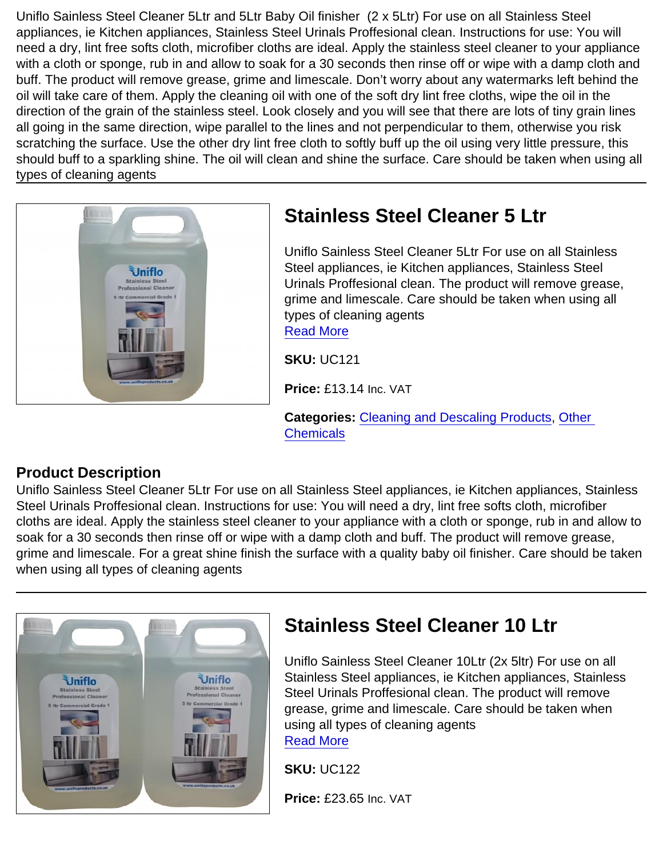Uniflo Sainless Steel Cleaner 5Ltr and 5Ltr Baby Oil finisher (2 x 5Ltr) For use on all Stainless Steel appliances, ie Kitchen appliances, Stainless Steel Urinals Proffesional clean. Instructions for use: You will need a dry, lint free softs cloth, microfiber cloths are ideal. Apply the stainless steel cleaner to your appliance with a cloth or sponge, rub in and allow to soak for a 30 seconds then rinse off or wipe with a damp cloth and buff. The product will remove grease, grime and limescale. Don't worry about any watermarks left behind the oil will take care of them. Apply the cleaning oil with one of the soft dry lint free cloths, wipe the oil in the direction of the grain of the stainless steel. Look closely and you will see that there are lots of tiny grain lines all going in the same direction, wipe parallel to the lines and not perpendicular to them, otherwise you risk scratching the surface. Use the other dry lint free cloth to softly buff up the oil using very little pressure, this should buff to a sparkling shine. The oil will clean and shine the surface. Care should be taken when using all types of cleaning agents

# [Read More](https://unifloproducts.co.uk/product/stainless-steel-cleaner-5-ltr/)

# Stainless Steel Cleaner 5 Ltr

Uniflo Sainless Steel Cleaner 5Ltr For use on all Stainless Steel appliances, ie Kitchen appliances, Stainless Steel Urinals Proffesional clean. The product will remove grease, grime and limescale. Care should be taken when using all types of cleaning agents

SKU: UC121

Price: £13.14 Inc. VAT

Categories: [Cleaning and Descaling Products,](https://unifloproducts.co.uk/product-category/cleaning-and-descaling-products/) [Other](https://unifloproducts.co.uk/product-category/cleaning-and-descaling-products/macerator-cleaning-descaling/)  **[Chemicals](https://unifloproducts.co.uk/product-category/cleaning-and-descaling-products/macerator-cleaning-descaling/)** 

## Product Description

Uniflo Sainless Steel Cleaner 5Ltr For use on all Stainless Steel appliances, ie Kitchen appliances, Stainless Steel Urinals Proffesional clean. Instructions for use: You will need a dry, lint free softs cloth, microfiber cloths are ideal. Apply the stainless steel cleaner to your appliance with a cloth or sponge, rub in and allow to soak for a 30 seconds then rinse off or wipe with a damp cloth and buff. The product will remove grease, grime and limescale. For a great shine finish the surface with a quality baby oil finisher. Care should be taken when using all types of cleaning agents

| Stainless Steel Cleaner 10 Ltr                                                                                                                                                                                                                                                                                                     |
|------------------------------------------------------------------------------------------------------------------------------------------------------------------------------------------------------------------------------------------------------------------------------------------------------------------------------------|
| Uniflo Sainless Steel Cleaner 10Ltr (2x 5ltr) For use on all<br>Stainless Steel appliances, ie Kitchen appliances, Stainless<br>Steel Urinals Proffesional clean. The product will remove<br>grease, grime and limescale. Care should be taken when<br>using all types of cleaning agents<br><b>Read More</b><br><b>SKU: UC122</b> |
| Price: £23.65 Inc. VAT                                                                                                                                                                                                                                                                                                             |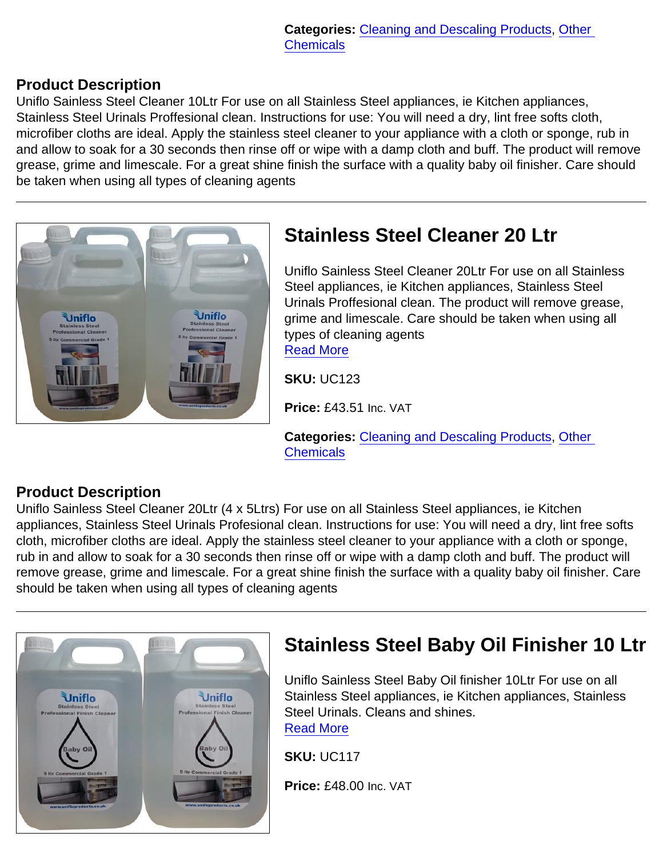#### Product Description

Uniflo Sainless Steel Cleaner 10Ltr For use on all Stainless Steel appliances, ie Kitchen appliances, Stainless Steel Urinals Proffesional clean. Instructions for use: You will need a dry, lint free softs cloth, microfiber cloths are ideal. Apply the stainless steel cleaner to your appliance with a cloth or sponge, rub in and allow to soak for a 30 seconds then rinse off or wipe with a damp cloth and buff. The product will remove grease, grime and limescale. For a great shine finish the surface with a quality baby oil finisher. Care should be taken when using all types of cleaning agents

| <b>Stainless Steel Cleaner 20 Ltr</b>                                                                                                                                                                                                                                                               |
|-----------------------------------------------------------------------------------------------------------------------------------------------------------------------------------------------------------------------------------------------------------------------------------------------------|
| Uniflo Sainless Steel Cleaner 20Ltr For use on all Stainless<br>Steel appliances, ie Kitchen appliances, Stainless Steel<br>Urinals Proffesional clean. The product will remove grease,<br>grime and limescale. Care should be taken when using all<br>types of cleaning agents<br><b>Read More</b> |
| <b>SKU: UC123</b>                                                                                                                                                                                                                                                                                   |
| Price: £43.51 Inc. VAT                                                                                                                                                                                                                                                                              |

Categories: [Cleaning and Descaling Products,](https://unifloproducts.co.uk/product-category/cleaning-and-descaling-products/) [Other](https://unifloproducts.co.uk/product-category/cleaning-and-descaling-products/macerator-cleaning-descaling/)  **[Chemicals](https://unifloproducts.co.uk/product-category/cleaning-and-descaling-products/macerator-cleaning-descaling/)** 

#### Product Description

Uniflo Sainless Steel Cleaner 20Ltr (4 x 5Ltrs) For use on all Stainless Steel appliances, ie Kitchen appliances, Stainless Steel Urinals Profesional clean. Instructions for use: You will need a dry, lint free softs cloth, microfiber cloths are ideal. Apply the stainless steel cleaner to your appliance with a cloth or sponge, rub in and allow to soak for a 30 seconds then rinse off or wipe with a damp cloth and buff. The product will remove grease, grime and limescale. For a great shine finish the surface with a quality baby oil finisher. Care should be taken when using all types of cleaning agents

| Stainless Steel Baby Oil Finisher 10 Ltr                                                                                                                                                                   |
|------------------------------------------------------------------------------------------------------------------------------------------------------------------------------------------------------------|
| Uniflo Sainless Steel Baby Oil finisher 10Ltr For use on all<br>Stainless Steel appliances, ie Kitchen appliances, Stainless<br>Steel Urinals, Cleans and shines.<br><b>Read More</b><br><b>SKU: UC117</b> |
| Price: £48.00 Inc. VAT                                                                                                                                                                                     |
|                                                                                                                                                                                                            |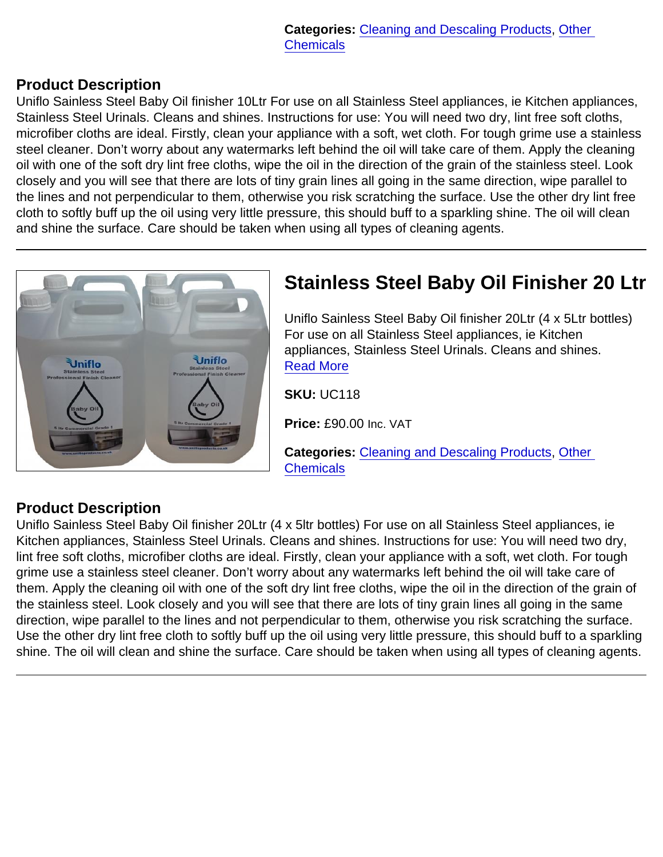#### Product Description

Uniflo Sainless Steel Baby Oil finisher 10Ltr For use on all Stainless Steel appliances, ie Kitchen appliances, Stainless Steel Urinals. Cleans and shines. Instructions for use: You will need two dry, lint free soft cloths, microfiber cloths are ideal. Firstly, clean your appliance with a soft, wet cloth. For tough grime use a stainless steel cleaner. Don't worry about any watermarks left behind the oil will take care of them. Apply the cleaning oil with one of the soft dry lint free cloths, wipe the oil in the direction of the grain of the stainless steel. Look closely and you will see that there are lots of tiny grain lines all going in the same direction, wipe parallel to the lines and not perpendicular to them, otherwise you risk scratching the surface. Use the other dry lint free cloth to softly buff up the oil using very little pressure, this should buff to a sparkling shine. The oil will clean and shine the surface. Care should be taken when using all types of cleaning agents.

|  | S            |
|--|--------------|
|  |              |
|  | $U$ F a R    |
|  | S            |
|  | P            |
|  | $\mathsf{C}$ |

# Stainless Steel Baby Oil Finisher 20 Ltr

niflo Sainless Steel Baby Oil finisher 20Ltr (4 x 5Ltr bottles) or use on all Stainless Steel appliances, ie Kitchen appliances, Stainless Steel Urinals. Cleans and shines. ead More

KU: UC118

Price: £90.00 Inc. VAT

ategories: [Cleaning and Descaling Products,](https://unifloproducts.co.uk/product-category/cleaning-and-descaling-products/) Other **[Chemicals](https://unifloproducts.co.uk/product-category/cleaning-and-descaling-products/macerator-cleaning-descaling/)** 

## Product Description

Uniflo Sainless Steel Baby Oil finisher 20Ltr (4 x 5ltr bottles) For use on all Stainless Steel appliances, ie Kitchen appliances, Stainless Steel Urinals. Cleans and shines. Instructions for use: You will need two dry, lint free soft cloths, microfiber cloths are ideal. Firstly, clean your appliance with a soft, wet cloth. For tough grime use a stainless steel cleaner. Don't worry about any watermarks left behind the oil will take care of them. Apply the cleaning oil with one of the soft dry lint free cloths, wipe the oil in the direction of the grain of the stainless steel. Look closely and you will see that there are lots of tiny grain lines all going in the same direction, wipe parallel to the lines and not perpendicular to them, otherwise you risk scratching the surface. Use the other dry lint free cloth to softly buff up the oil using very little pressure, this should buff to a sparkling shine. The oil will clean and shine the surface. Care should be taken when using all types of cleaning agents.